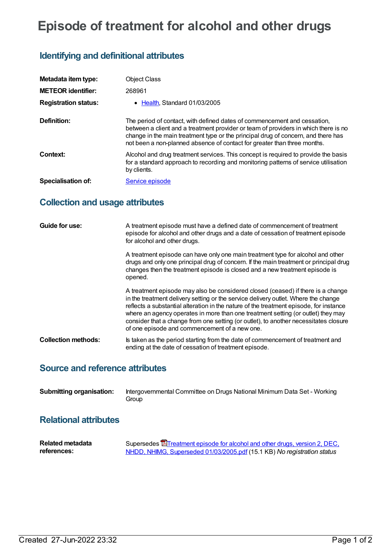# **Episode of treatment for alcohol and other drugs**

## **Identifying and definitional attributes**

| Metadata item type:         | <b>Object Class</b>                                                                                                                                                                                                                                                                                                              |
|-----------------------------|----------------------------------------------------------------------------------------------------------------------------------------------------------------------------------------------------------------------------------------------------------------------------------------------------------------------------------|
| <b>METEOR identifier:</b>   | 268961                                                                                                                                                                                                                                                                                                                           |
| <b>Registration status:</b> | • Health. Standard 01/03/2005                                                                                                                                                                                                                                                                                                    |
| Definition:                 | The period of contact, with defined dates of commencement and cessation,<br>between a client and a treatment provider or team of providers in which there is no<br>change in the main treatment type or the principal drug of concern, and there has<br>not been a non-planned absence of contact for greater than three months. |
| Context:                    | Alcohol and drug treatment services. This concept is required to provide the basis<br>for a standard approach to recording and monitoring patterns of service utilisation<br>by clients.                                                                                                                                         |
| Specialisation of:          | Service episode                                                                                                                                                                                                                                                                                                                  |

# **Collection and usage attributes**

| Guide for use:             | A treatment episode must have a defined date of commencement of treatment<br>episode for alcohol and other drugs and a date of cessation of treatment episode<br>for alcohol and other drugs.                                                                                                                                                                                                                                                                                                |
|----------------------------|----------------------------------------------------------------------------------------------------------------------------------------------------------------------------------------------------------------------------------------------------------------------------------------------------------------------------------------------------------------------------------------------------------------------------------------------------------------------------------------------|
|                            | A treatment episode can have only one main treatment type for alcohol and other<br>drugs and only one principal drug of concern. If the main treatment or principal drug<br>changes then the treatment episode is closed and a new treatment episode is<br>opened.                                                                                                                                                                                                                           |
|                            | A treatment episode may also be considered closed (ceased) if there is a change<br>in the treatment delivery setting or the service delivery outlet. Where the change<br>reflects a substantial alteration in the nature of the treatment episode, for instance<br>where an agency operates in more than one treatment setting (or outlet) they may<br>consider that a change from one setting (or outlet), to another necessitates closure<br>of one episode and commencement of a new one. |
| <b>Collection methods:</b> | Is taken as the period starting from the date of commencement of treatment and<br>ending at the date of cessation of treatment episode.                                                                                                                                                                                                                                                                                                                                                      |

### **Source and reference attributes**

**Submitting organisation:** Intergovernmental Committee on Drugs National Minimum Data Set - Working Group

## **Relational attributes**

| <b>Related metadata</b> | Supersedes <b>E</b> Treatment episode for alcohol and other drugs, version 2, DEC, |
|-------------------------|------------------------------------------------------------------------------------|
| references:             | NHDD, NHIMG, Superseded 01/03/2005.pdf (15.1 KB) No registration status            |